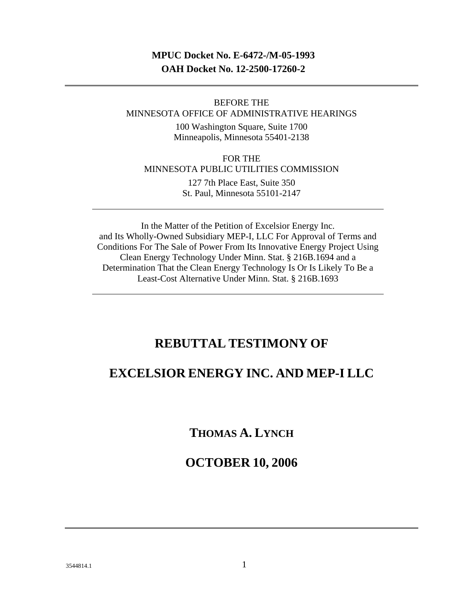### **MPUC Docket No. E-6472-/M-05-1993 OAH Docket No. 12-2500-17260-2**

BEFORE THE MINNESOTA OFFICE OF ADMINISTRATIVE HEARINGS

> 100 Washington Square, Suite 1700 Minneapolis, Minnesota 55401-2138

FOR THE MINNESOTA PUBLIC UTILITIES COMMISSION

> 127 7th Place East, Suite 350 St. Paul, Minnesota 55101-2147

In the Matter of the Petition of Excelsior Energy Inc. and Its Wholly-Owned Subsidiary MEP-I, LLC For Approval of Terms and Conditions For The Sale of Power From Its Innovative Energy Project Using Clean Energy Technology Under Minn. Stat. § 216B.1694 and a Determination That the Clean Energy Technology Is Or Is Likely To Be a Least-Cost Alternative Under Minn. Stat. § 216B.1693

# **REBUTTAL TESTIMONY OF**

# **EXCELSIOR ENERGY INC. AND MEP-I LLC**

**THOMAS A. LYNCH**

# **OCTOBER 10, 2006**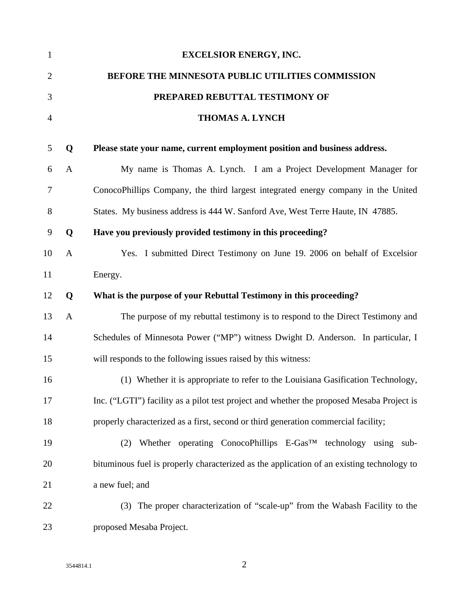| $\mathbf{1}$     |              | <b>EXCELSIOR ENERGY, INC.</b>                                                             |
|------------------|--------------|-------------------------------------------------------------------------------------------|
| $\overline{2}$   |              | BEFORE THE MINNESOTA PUBLIC UTILITIES COMMISSION                                          |
| 3                |              | PREPARED REBUTTAL TESTIMONY OF                                                            |
| $\overline{4}$   |              | <b>THOMAS A. LYNCH</b>                                                                    |
| 5                | Q            | Please state your name, current employment position and business address.                 |
| 6                | $\mathbf{A}$ | My name is Thomas A. Lynch. I am a Project Development Manager for                        |
| 7                |              | ConocoPhillips Company, the third largest integrated energy company in the United         |
| 8                |              | States. My business address is 444 W. Sanford Ave, West Terre Haute, IN 47885.            |
| $\boldsymbol{9}$ | Q            | Have you previously provided testimony in this proceeding?                                |
| 10               | $\mathbf{A}$ | Yes. I submitted Direct Testimony on June 19. 2006 on behalf of Excelsior                 |
| 11               |              | Energy.                                                                                   |
| 12               | Q            | What is the purpose of your Rebuttal Testimony in this proceeding?                        |
| 13               | $\mathbf{A}$ | The purpose of my rebuttal testimony is to respond to the Direct Testimony and            |
| 14               |              | Schedules of Minnesota Power ("MP") witness Dwight D. Anderson. In particular, I          |
| 15               |              | will responds to the following issues raised by this witness:                             |
| 16               |              | (1) Whether it is appropriate to refer to the Louisiana Gasification Technology,          |
| 17               |              | Inc. ("LGTI") facility as a pilot test project and whether the proposed Mesaba Project is |
| 18               |              | properly characterized as a first, second or third generation commercial facility;        |
| 19               |              | (2) Whether operating ConocoPhillips E-Gas <sup>TM</sup> technology using sub-            |
| 20               |              | bituminous fuel is properly characterized as the application of an existing technology to |
| 21               |              | a new fuel; and                                                                           |
| 22               |              | The proper characterization of "scale-up" from the Wabash Facility to the<br>(3)          |
| 23               |              | proposed Mesaba Project.                                                                  |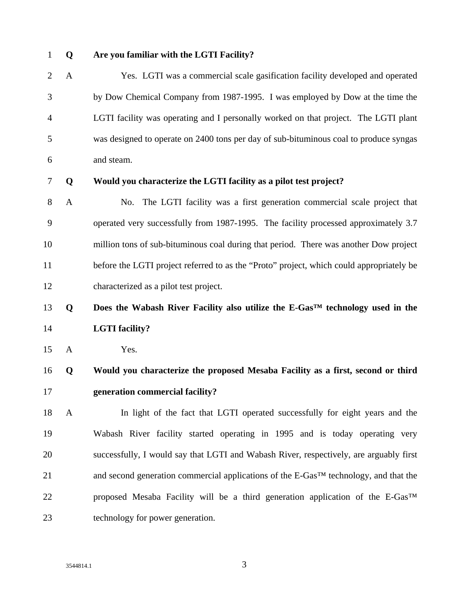#### 1 **Q Are you familiar with the LGTI Facility?**

2 A Yes. LGTI was a commercial scale gasification facility developed and operated 3 by Dow Chemical Company from 1987-1995. I was employed by Dow at the time the 4 LGTI facility was operating and I personally worked on that project. The LGTI plant 5 was designed to operate on 2400 tons per day of sub-bituminous coal to produce syngas 6 and steam.

#### 7 **Q Would you characterize the LGTI facility as a pilot test project?**

8 A No. The LGTI facility was a first generation commercial scale project that 9 operated very successfully from 1987-1995. The facility processed approximately 3.7 10 million tons of sub-bituminous coal during that period. There was another Dow project 11 before the LGTI project referred to as the "Proto" project, which could appropriately be 12 characterized as a pilot test project.

# 13 **Q Does the Wabash River Facility also utilize the E-Gas™ technology used in the**  14 **LGTI facility?**

15 A Yes.

# 16 **Q Would you characterize the proposed Mesaba Facility as a first, second or third**  17 **generation commercial facility?**

18 A In light of the fact that LGTI operated successfully for eight years and the 19 Wabash River facility started operating in 1995 and is today operating very 20 successfully, I would say that LGTI and Wabash River, respectively, are arguably first 21 and second generation commercial applications of the E-Gas<sup>TM</sup> technology, and that the 22 proposed Mesaba Facility will be a third generation application of the E-Gas<sup>TM</sup> 23 technology for power generation.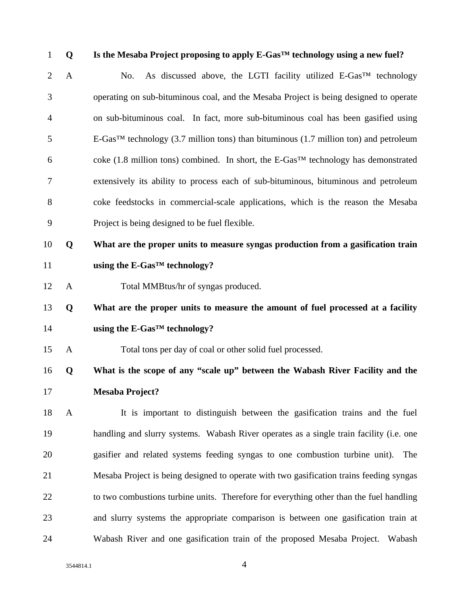1 **Q Is the Mesaba Project proposing to apply E-Gas™ technology using a new fuel?**  2 A No. As discussed above, the LGTI facility utilized E-Gas<sup>TM</sup> technology 3 operating on sub-bituminous coal, and the Mesaba Project is being designed to operate 4 on sub-bituminous coal. In fact, more sub-bituminous coal has been gasified using  $5$  E-Gas<sup>TM</sup> technology (3.7 million tons) than bituminous (1.7 million ton) and petroleum 6 coke (1.8 million tons) combined. In short, the E-Gas<sup>TM</sup> technology has demonstrated 7 extensively its ability to process each of sub-bituminous, bituminous and petroleum 8 coke feedstocks in commercial-scale applications, which is the reason the Mesaba 9 Project is being designed to be fuel flexible. 10 **Q What are the proper units to measure syngas production from a gasification train**  11 **using the E-Gas™ technology?**  12 A Total MMBtus/hr of syngas produced. 13 **Q What are the proper units to measure the amount of fuel processed at a facility**  14 **using the E-Gas™ technology?**  15 A Total tons per day of coal or other solid fuel processed. 16 **Q What is the scope of any "scale up" between the Wabash River Facility and the**  17 **Mesaba Project?**  18 A It is important to distinguish between the gasification trains and the fuel 19 handling and slurry systems. Wabash River operates as a single train facility (i.e. one 20 gasifier and related systems feeding syngas to one combustion turbine unit). The 21 Mesaba Project is being designed to operate with two gasification trains feeding syngas 22 to two combustions turbine units. Therefore for everything other than the fuel handling

24 Wabash River and one gasification train of the proposed Mesaba Project. Wabash

23 and slurry systems the appropriate comparison is between one gasification train at